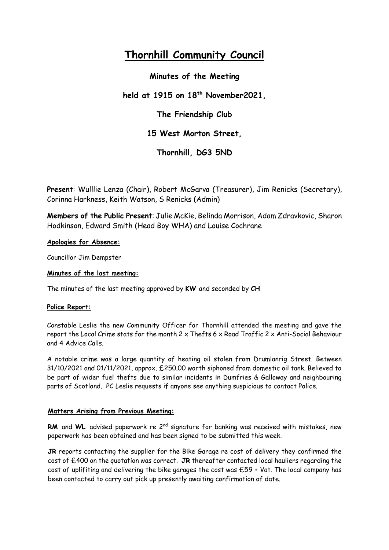# **Thornhill Community Council**

**Minutes of the Meeting** 

**held at 1915 on 18th November2021,** 

**The Friendship Club**

**15 West Morton Street,** 

**Thornhill, DG3 5ND**

**Present**: Wulllie Lenza (Chair), Robert McGarva (Treasurer), Jim Renicks (Secretary), Corinna Harkness, Keith Watson, S Renicks (Admin)

**Members of the Public Present**: Julie McKie, Belinda Morrison, Adam Zdravkovic, Sharon Hodkinson, Edward Smith (Head Boy WHA) and Louise Cochrane

**Apologies for Absence:**

Councillor Jim Dempster

## **Minutes of the last meeting:**

The minutes of the last meeting approved by **KW** and seconded by **CH**

## **Police Report:**

Constable Leslie the new Community Officer for Thornhill attended the meeting and gave the report the Local Crime stats for the month  $2 \times$  Thefts 6  $\times$  Road Traffic 2  $\times$  Anti-Social Behaviour and 4 Advice Calls.

A notable crime was a large quantity of heating oil stolen from Drumlanrig Street. Between 31/10/2021 and 01/11/2021, approx. £250.00 worth siphoned from domestic oil tank. Believed to be part of wider fuel thefts due to similar incidents in Dumfries & Galloway and neighbouring parts of Scotland. PC Leslie requests if anyone see anything suspicious to contact Police.

## **Matters Arising from Previous Meeting:**

**RM** and WL advised paperwork re 2<sup>nd</sup> signature for banking was received with mistakes, new paperwork has been obtained and has been signed to be submitted this week.

**JR** reports contacting the supplier for the Bike Garage re cost of delivery they confirmed the cost of £400 on the quotation was correct. **JR** thereafter contacted local hauliers regarding the cost of uplifiting and delivering the bike garages the cost was £59 + Vat. The local company has been contacted to carry out pick up presently awaiting confirmation of date.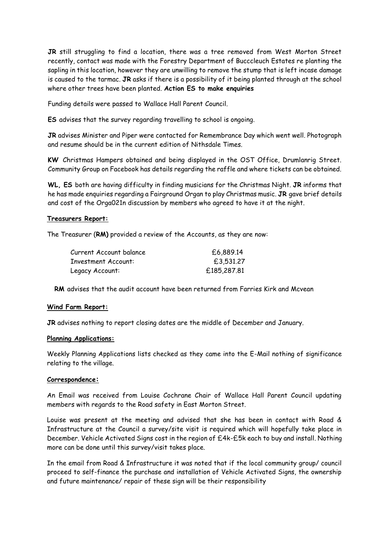**JR** still struggling to find a location, there was a tree removed from West Morton Street recently, contact was made with the Forestry Department of Bucccleuch Estates re planting the sapling in this location, however they are unwilling to remove the stump that is left incase damage is caused to the tarmac. **JR** asks if there is a possibility of it being planted through at the school where other trees have been planted. **Action ES to make enquiries**

Funding details were passed to Wallace Hall Parent Council.

**ES** advises that the survey regarding travelling to school is ongoing.

**JR** advises Minister and Piper were contacted for Remembrance Day which went well. Photograph and resume should be in the current edition of Nithsdale Times.

**KW** Christmas Hampers obtained and being displayed in the OST Office, Drumlanrig Street. Community Group on Facebook has details regarding the raffle and where tickets can be obtained.

**WL, ES** both are having difficulty in finding musicians for the Christmas Night. **JR** informs that he has made enquiries regarding a Fairground Organ to play Christmas music. **JR** gave brief details and cost of the Orga021n discussion by members who agreed to have it at the night.

#### **Treasurers Report:**

The Treasurer (**RM)** provided a review of the Accounts, as they are now:

| Current Account balance | £6,889.14   |
|-------------------------|-------------|
| Investment Account:     | £3,531.27   |
| Legacy Account:         | £185,287,81 |

**RM** advises that the audit account have been returned from Farries Kirk and Mcvean

#### **Wind Farm Report:**

**JR** advises nothing to report closing dates are the middle of December and January.

#### **Planning Applications:**

Weekly Planning Applications lists checked as they came into the E-Mail nothing of significance relating to the village.

#### **Correspondence:**

An Email was received from Louise Cochrane Chair of Wallace Hall Parent Council updating members with regards to the Road safety in East Morton Street.

Louise was present at the meeting and advised that she has been in contact with Road & Infrastructure at the Council a survey/site visit is required which will hopefully take place in December. Vehicle Activated Signs cost in the region of £4k-£5k each to buy and install. Nothing more can be done until this survey/visit takes place.

In the email from Road & Infrastructure it was noted that if the local community group/ council proceed to self-finance the purchase and installation of Vehicle Activated Signs, the ownership and future maintenance/ repair of these sign will be their responsibility